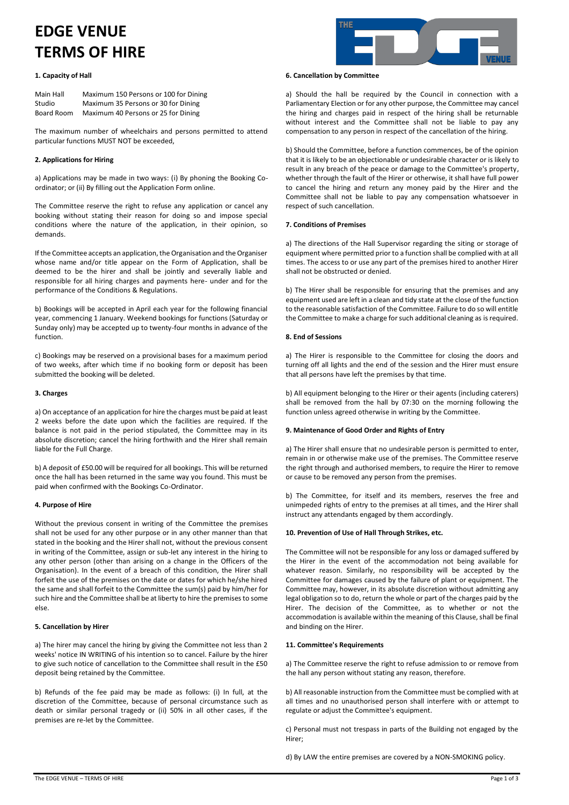# **EDGE VENUE TERMS OF HIRE**

# **1. Capacity of Hall**

| Main Hall  | Maximum 150 Persons or 100 for Dining |
|------------|---------------------------------------|
| Studio     | Maximum 35 Persons or 30 for Dining   |
| Board Room | Maximum 40 Persons or 25 for Dining   |

The maximum number of wheelchairs and persons permitted to attend particular functions MUST NOT be exceeded,

# **2. Applications for Hiring**

a) Applications may be made in two ways: (i) By phoning the Booking Coordinator; or (ii) By filling out the Application Form online.

The Committee reserve the right to refuse any application or cancel any booking without stating their reason for doing so and impose special conditions where the nature of the application, in their opinion, so demands.

If the Committee accepts an application, the Organisation and the Organiser whose name and/or title appear on the Form of Application, shall be deemed to be the hirer and shall be jointly and severally liable and responsible for all hiring charges and payments here- under and for the performance of the Conditions & Regulations.

b) Bookings will be accepted in April each year for the following financial year, commencing 1 January. Weekend bookings for functions (Saturday or Sunday only) may be accepted up to twenty-four months in advance of the function.

c) Bookings may be reserved on a provisional bases for a maximum period of two weeks, after which time if no booking form or deposit has been submitted the booking will be deleted.

## **3. Charges**

a) On acceptance of an application for hire the charges must be paid at least 2 weeks before the date upon which the facilities are required. If the balance is not paid in the period stipulated, the Committee may in its absolute discretion; cancel the hiring forthwith and the Hirer shall remain liable for the Full Charge.

b) A deposit of £50.00 will be required for all bookings. This will be returned once the hall has been returned in the same way you found. This must be paid when confirmed with the Bookings Co-Ordinator.

## **4. Purpose of Hire**

Without the previous consent in writing of the Committee the premises shall not be used for any other purpose or in any other manner than that stated in the booking and the Hirer shall not, without the previous consent in writing of the Committee, assign or sub-let any interest in the hiring to any other person (other than arising on a change in the Officers of the Organisation). In the event of a breach of this condition, the Hirer shall forfeit the use of the premises on the date or dates for which he/she hired the same and shall forfeit to the Committee the sum(s) paid by him/her for such hire and the Committee shall be at liberty to hire the premises to some else.

## **5. Cancellation by Hirer**

a) The hirer may cancel the hiring by giving the Committee not less than 2 weeks' notice IN WRITING of his intention so to cancel. Failure by the hirer to give such notice of cancellation to the Committee shall result in the £50 deposit being retained by the Committee.

b) Refunds of the fee paid may be made as follows: (i) In full, at the discretion of the Committee, because of personal circumstance such as death or similar personal tragedy or (ii) 50% in all other cases, if the premises are re-let by the Committee.



#### **6. Cancellation by Committee**

a) Should the hall be required by the Council in connection with a Parliamentary Election or for any other purpose, the Committee may cancel the hiring and charges paid in respect of the hiring shall be returnable without interest and the Committee shall not be liable to pay any compensation to any person in respect of the cancellation of the hiring.

b) Should the Committee, before a function commences, be of the opinion that it is likely to be an objectionable or undesirable character or is likely to result in any breach of the peace or damage to the Committee's property, whether through the fault of the Hirer or otherwise, it shall have full power to cancel the hiring and return any money paid by the Hirer and the Committee shall not be liable to pay any compensation whatsoever in respect of such cancellation.

# **7. Conditions of Premises**

a) The directions of the Hall Supervisor regarding the siting or storage of equipment where permitted prior to a function shall be complied with at all times. The access to or use any part of the premises hired to another Hirer shall not be obstructed or denied.

b) The Hirer shall be responsible for ensuring that the premises and any equipment used are left in a clean and tidy state at the close of the function to the reasonable satisfaction of the Committee. Failure to do so will entitle the Committee to make a charge for such additional cleaning as is required.

# **8. End of Sessions**

a) The Hirer is responsible to the Committee for closing the doors and turning off all lights and the end of the session and the Hirer must ensure that all persons have left the premises by that time.

b) All equipment belonging to the Hirer or their agents (including caterers) shall be removed from the hall by 07:30 on the morning following the function unless agreed otherwise in writing by the Committee.

## **9. Maintenance of Good Order and Rights of Entry**

a) The Hirer shall ensure that no undesirable person is permitted to enter, remain in or otherwise make use of the premises. The Committee reserve the right through and authorised members, to require the Hirer to remove or cause to be removed any person from the premises.

b) The Committee, for itself and its members, reserves the free and unimpeded rights of entry to the premises at all times, and the Hirer shall instruct any attendants engaged by them accordingly.

## **10. Prevention of Use of Hall Through Strikes, etc.**

The Committee will not be responsible for any loss or damaged suffered by the Hirer in the event of the accommodation not being available for whatever reason. Similarly, no responsibility will be accepted by the Committee for damages caused by the failure of plant or equipment. The Committee may, however, in its absolute discretion without admitting any legal obligation so to do, return the whole or part of the charges paid by the Hirer. The decision of the Committee, as to whether or not the accommodation is available within the meaning of this Clause, shall be final and binding on the Hirer.

## **11. Committee's Requirements**

a) The Committee reserve the right to refuse admission to or remove from the hall any person without stating any reason, therefore.

b) All reasonable instruction from the Committee must be complied with at all times and no unauthorised person shall interfere with or attempt to regulate or adjust the Committee's equipment.

c) Personal must not trespass in parts of the Building not engaged by the Hirer;

d) By LAW the entire premises are covered by a NON-SMOKING policy.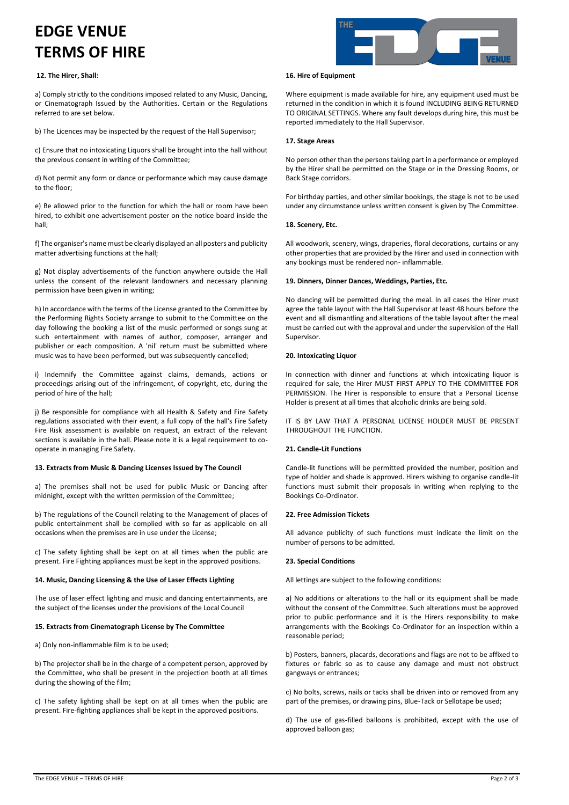# **EDGE VENUE TERMS OF HIRE**

# **12. The Hirer, Shall:**

a) Comply strictly to the conditions imposed related to any Music, Dancing, or Cinematograph Issued by the Authorities. Certain or the Regulations referred to are set below.

b) The Licences may be inspected by the request of the Hall Supervisor;

c) Ensure that no intoxicating Liquors shall be brought into the hall without the previous consent in writing of the Committee;

d) Not permit any form or dance or performance which may cause damage to the floor;

e) Be allowed prior to the function for which the hall or room have been hired, to exhibit one advertisement poster on the notice board inside the hall;

f) The organiser's name must be clearly displayed an all posters and publicity matter advertising functions at the hall;

g) Not display advertisements of the function anywhere outside the Hall unless the consent of the relevant landowners and necessary planning permission have been given in writing;

h) In accordance with the terms of the License granted to the Committee by the Performing Rights Society arrange to submit to the Committee on the day following the booking a list of the music performed or songs sung at such entertainment with names of author, composer, arranger and publisher or each composition. A 'nil' return must be submitted where music was to have been performed, but was subsequently cancelled;

i) Indemnify the Committee against claims, demands, actions or proceedings arising out of the infringement, of copyright, etc, during the period of hire of the hall;

j) Be responsible for compliance with all Health & Safety and Fire Safety regulations associated with their event, a full copy of the hall's Fire Safety Fire Risk assessment is available on request, an extract of the relevant sections is available in the hall. Please note it is a legal requirement to cooperate in managing Fire Safety.

## **13. Extracts from Music & Dancing Licenses Issued by The Council**

a) The premises shall not be used for public Music or Dancing after midnight, except with the written permission of the Committee;

b) The regulations of the Council relating to the Management of places of public entertainment shall be complied with so far as applicable on all occasions when the premises are in use under the License;

c) The safety lighting shall be kept on at all times when the public are present. Fire Fighting appliances must be kept in the approved positions.

# **14. Music, Dancing Licensing & the Use of Laser Effects Lighting**

The use of laser effect lighting and music and dancing entertainments, are the subject of the licenses under the provisions of the Local Council

## **15. Extracts from Cinematograph License by The Committee**

a) Only non-inflammable film is to be used;

b) The projector shall be in the charge of a competent person, approved by the Committee, who shall be present in the projection booth at all times during the showing of the film;

c) The safety lighting shall be kept on at all times when the public are present. Fire-fighting appliances shall be kept in the approved positions.



#### **16. Hire of Equipment**

Where equipment is made available for hire, any equipment used must be returned in the condition in which it is found INCLUDING BEING RETURNED TO ORIGINAL SETTINGS. Where any fault develops during hire, this must be reported immediately to the Hall Supervisor.

# **17. Stage Areas**

No person other than the persons taking part in a performance or employed by the Hirer shall be permitted on the Stage or in the Dressing Rooms, or Back Stage corridors.

For birthday parties, and other similar bookings, the stage is not to be used under any circumstance unless written consent is given by The Committee.

# **18. Scenery, Etc.**

All woodwork, scenery, wings, draperies, floral decorations, curtains or any other properties that are provided by the Hirer and used in connection with any bookings must be rendered non- inflammable.

## **19. Dinners, Dinner Dances, Weddings, Parties, Etc.**

No dancing will be permitted during the meal. In all cases the Hirer must agree the table layout with the Hall Supervisor at least 48 hours before the event and all dismantling and alterations of the table layout after the meal must be carried out with the approval and under the supervision of the Hall Supervisor.

# **20. Intoxicating Liquor**

In connection with dinner and functions at which intoxicating liquor is required for sale, the Hirer MUST FIRST APPLY TO THE COMMITTEE FOR PERMISSION. The Hirer is responsible to ensure that a Personal License Holder is present at all times that alcoholic drinks are being sold.

IT IS BY LAW THAT A PERSONAL LICENSE HOLDER MUST BE PRESENT THROUGHOUT THE FUNCTION.

## **21. Candle-Lit Functions**

Candle-lit functions will be permitted provided the number, position and type of holder and shade is approved. Hirers wishing to organise candle-lit functions must submit their proposals in writing when replying to the Bookings Co-Ordinator.

## **22. Free Admission Tickets**

All advance publicity of such functions must indicate the limit on the number of persons to be admitted.

## **23. Special Conditions**

All lettings are subject to the following conditions:

a) No additions or alterations to the hall or its equipment shall be made without the consent of the Committee. Such alterations must be approved prior to public performance and it is the Hirers responsibility to make arrangements with the Bookings Co-Ordinator for an inspection within a reasonable period;

b) Posters, banners, placards, decorations and flags are not to be affixed to fixtures or fabric so as to cause any damage and must not obstruct gangways or entrances;

c) No bolts, screws, nails or tacks shall be driven into or removed from any part of the premises, or drawing pins, Blue-Tack or Sellotape be used;

d) The use of gas-filled balloons is prohibited, except with the use of approved balloon gas;